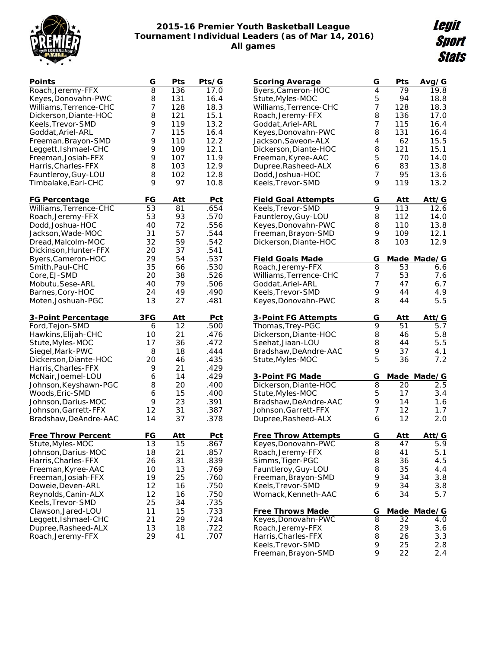

## **2015-16 Premier Youth Basketball League Tournament Individual Leaders (as of Mar 14, 2016) All games**

Legit **Sport Stats** 

| Points                                         | G        | Pts              | Pts/G              |
|------------------------------------------------|----------|------------------|--------------------|
| Roach, Jeremy-FFX                              | 8        | 136              | 17.0               |
| Keyes, Donovahn-PWC                            | 8        | 131              | 16.4               |
| Williams, Terrence-CHC                         | 7        | 128              | 18.3               |
| Dickerson, Diante-HOC                          | 8        | 121              | 15.1               |
| Keels, Trevor-SMD                              | 9        | 119              | 13.2               |
| Goddat, Ariel-ARL                              | 7        | 115              | 16.4               |
| Freeman, Brayon-SMD                            | 9        | 110              | 12.2               |
| Leggett, Ishmael-CHC                           | 9        | 109              | 12.1               |
| Freeman, Josiah-FFX                            | 9        | 107              | 11.9               |
| Harris, Charles-FFX                            | 8        | 103              | 12.9               |
| Fauntleroy, Guy-LOU                            | 8        | 102              | 12.8               |
| Timbalake, Earl-CHC                            | 9        | 97               | 10.8               |
|                                                | FG       |                  |                    |
| <b>FG Percentage</b><br>Williams, Terrence-CHC | 53       | <u>Att</u><br>81 | <u>Pct</u><br>.654 |
|                                                | 53       | 93               | .570               |
| Roach, Jeremy-FFX                              |          |                  |                    |
| Dodd, Joshua-HOC                               | 40       | 72               | .556               |
| Jackson, Wade-MOC                              | 31       | 57<br>59         | .544               |
| Dread, Malcolm-MOC                             | 32       |                  | .542               |
| Dickinson, Hunter-FFX                          | 20       | 37               | .541               |
| Byers, Cameron-HOC                             | 29       | 54               | .537               |
| Smith, Paul-CHC                                | 35       | 66               | .530               |
| Core, EJ-SMD                                   | 20       | 38               | .526               |
| Mobutu, Sese-ARL                               | 40       | 79               | .506               |
| Barnes, Cory-HOC                               | 24       | 49               | .490               |
| Moten, Joshuah-PGC                             | 13       | 27               | .481               |
|                                                |          |                  |                    |
| 3-Point Percentage                             | 3FG      | <u>Att</u>       | <b>Pct</b>         |
| Ford, Tejon-SMD                                | 6        | 12               | .500               |
| Hawkins, Elijah-CHC                            | 10       | 21               | .476               |
| Stute, Myles-MOC                               | 17       | 36               | .472               |
| Siegel, Mark-PWC                               | 8        | 18               | .444               |
| Dickerson, Diante-HOC                          | 20       | 46               | .435               |
| Harris, Charles-FFX                            | 9        | 21               | .429               |
| McNair, Joemel-LOU                             | 6        | 14               | .429               |
| Johnson, Keyshawn-PGC                          | 8        | 20               | .400               |
| Woods, Eric-SMD                                | 6        | 15               | .400               |
| Johnson, Darius-MOC                            | 9        | 23               | .391               |
| Johnson, Garrett-FFX                           | 12       | 31               | .387               |
| Bradshaw, DeAndre-AAC                          | 14       | 37               | .378               |
|                                                | FG       | Att              | Pct                |
| <b>Free Throw Percent</b>                      |          | 15               |                    |
| Stute, Myles-MOC                               | 13       |                  | .867<br>.857       |
| Johnson, Darius-MOC                            | 18<br>26 | 21<br>31         | .839               |
| Harris, Charles-FFX                            | 10       | 13               | .769               |
| Freeman, Kyree-AAC<br>Freeman, Josiah-FFX      | 19       | 25               | .760               |
| Doweie, Deven-ARL                              | 12       | 16               | .750               |
| Reynolds, Canin-ALX                            | 12       | 16               | .750               |
| Keels, Trevor-SMD                              | 25       | 34               | .735               |
| Clawson, Jared-LOU                             | 11       | 15               | .733               |
| Leggett, Ishmael-CHC                           | 21       | 29               | .724               |
| Dupree, Rasheed-ALX                            | 13       | 18               | .722               |
| Roach, Jeremy-FFX                              | 29       | 41               | .707               |

| Scoring Average                           | G | Pts         | Avg/G                 |
|-------------------------------------------|---|-------------|-----------------------|
| Byers, Cameron-HOC                        | 4 | 79          | 19.8                  |
| Stute, Myles-MOC                          | 5 | 94          | 18.8                  |
| Williams, Terrence-CHC                    | 7 | 128         | 18.3                  |
| Roach, Jeremy-FFX                         | 8 | 136         | 17.0                  |
| Goddat, Ariel-ARL                         | 7 | 115         | 16.4                  |
| Keyes, Donovahn-PWC                       | 8 | 131         | 16.4                  |
| Jackson, Saveon-ALX                       | 4 | 62          | 15.5                  |
| Dickerson, Diante-HOC                     | 8 | 121         | 15.1                  |
| Freeman, Kyree-AAC                        | 5 | 70          | 14.0                  |
| Dupree, Rasheed-ALX                       | 6 | 83          | 13.8                  |
| Dodd, Joshua-HOC                          | 7 | 95          | 13.6                  |
| Keels, Trevor-SMD                         | 9 | 119         | 13.2                  |
| <b>Field Goal Attempts</b>                | G | Att         | Att/G                 |
| Keels, Trevor-SMD                         | 9 | 113         | 12.6                  |
| Fauntleroy, Guy-LOU                       | 8 | 112         | 14.0                  |
| Keyes, Donovahn-PWC                       | 8 | 110         | 13.8                  |
| Freeman, Brayon-SMD                       | 9 | 109         | 12.1                  |
| Dickerson, Diante-HOC                     | 8 | 103         | 12.9                  |
| <b>Field Goals Made</b>                   | G |             | Made Made/G           |
| Roach, Jeremy-FFX                         | 8 | 53          | 6.6                   |
| Williams, Terrence-CHC                    | 7 | 53          | 7.6                   |
| Goddat, Ariel-ARL                         | 7 | 47          | 6.7                   |
| Keels, Trevor-SMD                         | 9 | 44          | 4.9                   |
| Keyes, Donovahn-PWC                       | 8 | 44          | 5.5                   |
|                                           | G |             |                       |
| 3-Point FG Attempts                       | 9 | Att<br>51   | Att/G<br>5.7          |
| Thomas, Trey-PGC                          | 8 | 46          | 5.8                   |
| Dickerson, Diante-HOC<br>Seehat,Jiaan-LOU | 8 | 44          | 5.5                   |
| Bradshaw, DeAndre-AAC                     | 9 | 37          | 4.1                   |
| Stute, Myles-MOC                          | 5 | 36          | 7.2                   |
|                                           |   |             |                       |
| 3-Point FG Made                           | G |             | Made Made/G           |
| Dickerson, Diante-HOC                     | 8 | 20          | 2.5                   |
| Stute, Myles-MOC                          | 5 | 17          | 3.4                   |
| Bradshaw, DeAndre-AAC                     | 9 | 14          | 1.6                   |
| Johnson, Garrett-FFX                      | 7 | 12          | 1.7                   |
| Dupree, Rasheed-ALX                       | 6 | 12          | 2.0                   |
| <b>Free Throw Attempts</b>                | G | Att         | Att/G                 |
| Keyes, Donovahn-PWC                       | 8 | 47          | 9<br>$\overline{5}$ . |
| Roach, Jeremy-FFX                         | 8 | 41          | 5.1                   |
| Simms, Tiger-PGC                          | 8 | 36          | 4.5                   |
| Fauntleroy, Guy-LOU                       | 8 | 35          | 4.4                   |
| Freeman, Brayon-SMD                       | 9 | 34          | 3.8                   |
| Keels, Trevor-SMD                         | 9 | 34          | 3.8                   |
| Womack, Kenneth-AAC                       | 6 | 34          | 5.7                   |
| <u>Free Throws Made</u>                   | G | <u>Made</u> | Made/G                |
| Keyes, Donovahn-PWC                       | 8 | 32          | 4.0                   |
| Roach, Jeremy-FFX                         | 8 | 29          | 3.6                   |
| Harris, Charles-FFX                       | 8 | 26          | 3.3                   |
| Keels, Trevor-SMD                         | 9 | 25          | 2.8                   |
| Freeman, Brayon-SMD                       | 9 | 22          | 2.4                   |